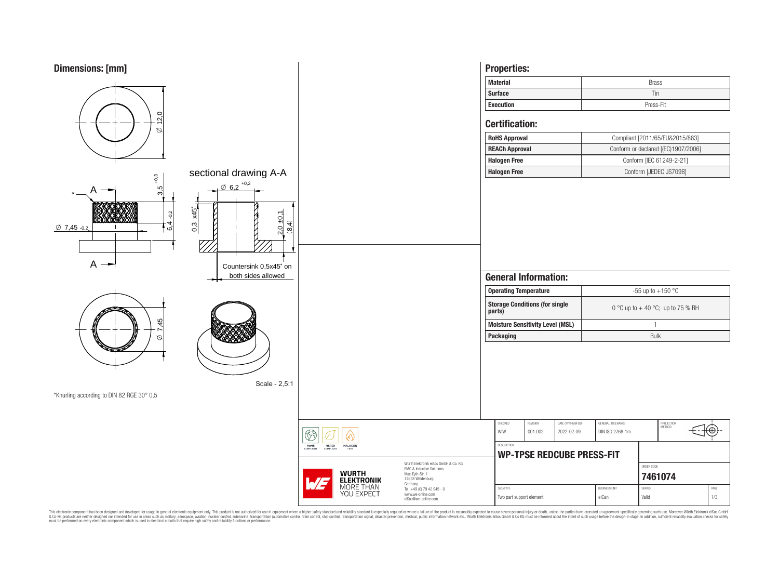

This electronic component has been designed and developed for usage in general electronic equipment only. This product is not authorized for subserved requipment where a higher selection equipment where a higher selection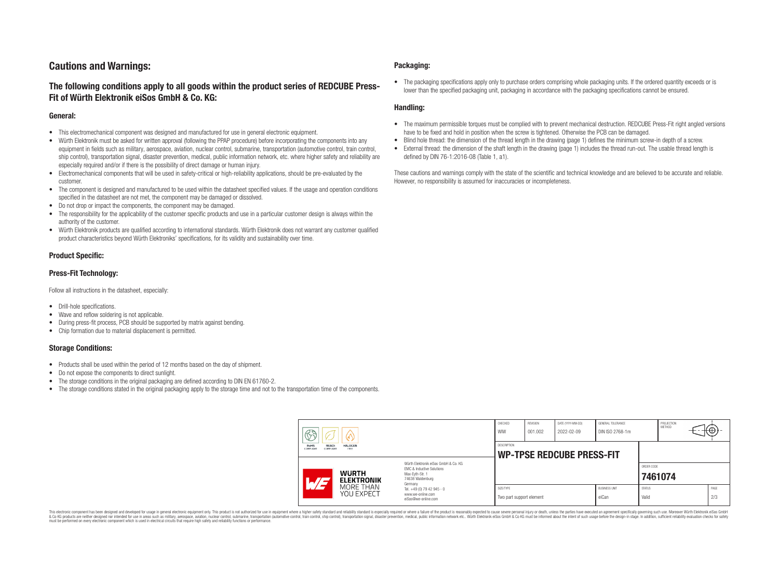# **Cautions and Warnings:**

# **The following conditions apply to all goods within the product series of REDCUBE Press-Fit of Würth Elektronik eiSos GmbH & Co. KG:**

### **General:**

- This electromechanical component was designed and manufactured for use in general electronic equipment.
- Würth Elektronik must be asked for written approval (following the PPAP procedure) before incorporating the components into any equipment in fields such as military, aerospace, aviation, nuclear control, submarine, transportation (automotive control, train control, ship control), transportation signal, disaster prevention, medical, public information network, etc. where higher safety and reliability are especially required and/or if there is the possibility of direct damage or human injury.
- Electromechanical components that will be used in safety-critical or high-reliability applications, should be pre-evaluated by the customer.
- The component is designed and manufactured to be used within the datasheet specified values. If the usage and operation conditions specified in the datasheet are not met, the component may be damaged or dissolved.
- Do not drop or impact the components, the component may be damaged.
- The responsibility for the applicability of the customer specific products and use in a particular customer design is always within the authority of the customer.
- Würth Elektronik products are qualified according to international standards. Würth Elektronik does not warrant any customer qualified product characteristics beyond Würth Elektroniks' specifications, for its validity and sustainability over time.

### **Product Specific:**

### **Press-Fit Technology:**

Follow all instructions in the datasheet, especially:

- Drill-hole specifications.
- Wave and reflow soldering is not applicable.
- During press-fit process, PCB should be supported by matrix against bending.
- Chip formation due to material displacement is permitted.

### **Storage Conditions:**

- Products shall be used within the period of 12 months based on the day of shipment.
- Do not expose the components to direct sunlight.
- The storage conditions in the original packaging are defined according to DIN EN 61760-2.
- The storage conditions stated in the original packaging apply to the storage time and not to the transportation time of the components.

### **Packaging:**

• The packaging specifications apply only to purchase orders comprising whole packaging units. If the ordered quantity exceeds or is lower than the specified packaging unit, packaging in accordance with the packaging specifications cannot be ensured.

### **Handling:**

- The maximum permissible torques must be complied with to prevent mechanical destruction. REDCUBE Press-Fit right angled versions have to be fixed and hold in position when the screw is tightened. Otherwise the PCB can be damaged.
- Blind hole thread: the dimension of the thread length in the drawing (page 1) defines the minimum screw-in depth of a screw.
- External thread: the dimension of the shaft length in the drawing (page 1) includes the thread run-out. The usable thread length is defined by DIN 76-1:2016-08 (Table 1, a1).

These cautions and warnings comply with the state of the scientific and technical knowledge and are believed to be accurate and reliable. However, no responsibility is assumed for inaccuracies or incompleteness.

| $\circledS$                                                                            |                                                                                                                                                                                                          | CHECKED<br>WIW                        | <b>REVISION</b><br>001.002                      | DATE (YYYY-MM-DD)<br>2022-02-09 | <b>GENERAL TOLERANCE</b><br>DIN ISO 2768-1m |                        | PROJECTION<br><b>METHOD</b> |  | ₩Ψ          |
|----------------------------------------------------------------------------------------|----------------------------------------------------------------------------------------------------------------------------------------------------------------------------------------------------------|---------------------------------------|-------------------------------------------------|---------------------------------|---------------------------------------------|------------------------|-----------------------------|--|-------------|
| <b>RoHS</b><br><b>REACh</b><br><b>HALOGEN</b><br>COMPLIANT<br>FREE<br><b>COMPLIANT</b> |                                                                                                                                                                                                          |                                       | DESCRIPTION<br><b>WP-TPSE REDCUBE PRESS-FIT</b> |                                 |                                             |                        |                             |  |             |
| <b>WURTH</b><br>AT<br><b>ELEKTRONIK</b>                                                | Würth Elektronik eiSos GmbH & Co. KG<br><b>FMC &amp; Inductive Solutions</b><br>Max-Eyth-Str. 1<br>74638 Waldenburg<br>Germany<br>Tel. +49 (0) 79 42 945 - 0<br>www.we-online.com<br>eiSos@we-online.com |                                       |                                                 |                                 |                                             |                        | ORDER CODE<br>7461074       |  |             |
| MORE THAN<br>YOU EXPECT                                                                |                                                                                                                                                                                                          | SIZE/TYPE<br>Two part support element |                                                 |                                 | <b>BUSINESS UNIT</b><br>eiCan               | <b>STATUS</b><br>Valid |                             |  | PAGE<br>2/3 |

This electronic component has been designed and developed for usage in general electronic equipment only. This product is not authorized for use in equipment where a higher safety standard and reliability standard si espec & Ook product a label and the membed of the seasuch as marked and as which such a membed and the such assume that income in the seasuch and the simulation and the such assume that include to the such a membed and the such